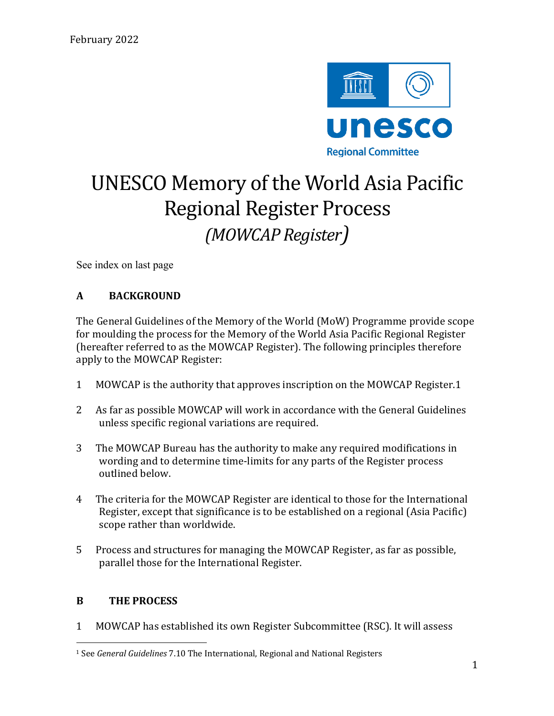

# UNESCO Memory of the World Asia Pacific **Regional Register Process** *(MOWCAP Register)*

See index on last page

# **A BACKGROUND**

The General Guidelines of the Memory of the World (MoW) Programme provide scope for moulding the process for the Memory of the World Asia Pacific Regional Register (hereafter referred to as the MOWCAP Register). The following principles therefore apply to the MOWCAP Register:

- 1 MOWCAP is the authority that approves inscription on the MOWCAP Register.1
- 2 As far as possible MOWCAP will work in accordance with the General Guidelines unless specific regional variations are required.
- 3 The MOWCAP Bureau has the authority to make any required modifications in wording and to determine time-limits for any parts of the Register process outlined below.
- 4 The criteria for the MOWCAP Register are identical to those for the International Register, except that significance is to be established on a regional (Asia Pacific) scope rather than worldwide.
- 5 Process and structures for managing the MOWCAP Register, as far as possible, parallel those for the International Register.

#### **B** THE PROCESS

1 MOWCAP has established its own Register Subcommittee (RSC). It will assess

<sup>&</sup>lt;sup>1</sup> See *General Guidelines* 7.10 The International, Regional and National Registers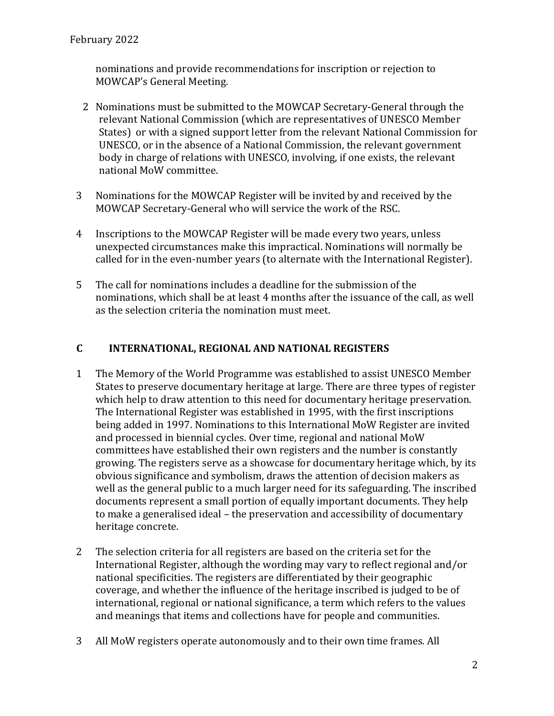nominations and provide recommendations for inscription or rejection to MOWCAP's General Meeting.

- 2 Nominations must be submitted to the MOWCAP Secretary-General through the relevant National Commission (which are representatives of UNESCO Member States) or with a signed support letter from the relevant National Commission for UNESCO, or in the absence of a National Commission, the relevant government body in charge of relations with UNESCO, involving, if one exists, the relevant national MoW committee.
- 3 Nominations for the MOWCAP Register will be invited by and received by the MOWCAP Secretary-General who will service the work of the RSC.
- 4 Inscriptions to the MOWCAP Register will be made every two years, unless unexpected circumstances make this impractical. Nominations will normally be called for in the even-number years (to alternate with the International Register).
- 5 The call for nominations includes a deadline for the submission of the nominations, which shall be at least 4 months after the issuance of the call, as well as the selection criteria the nomination must meet.

# **C INTERNATIONAL, REGIONAL AND NATIONAL REGISTERS**

- 1 The Memory of the World Programme was established to assist UNESCO Member States to preserve documentary heritage at large. There are three types of register which help to draw attention to this need for documentary heritage preservation. The International Register was established in 1995, with the first inscriptions being added in 1997. Nominations to this International MoW Register are invited and processed in biennial cycles. Over time, regional and national MoW committees have established their own registers and the number is constantly growing. The registers serve as a showcase for documentary heritage which, by its obvious significance and symbolism, draws the attention of decision makers as well as the general public to a much larger need for its safeguarding. The inscribed documents represent a small portion of equally important documents. They help to make a generalised ideal – the preservation and accessibility of documentary heritage concrete.
- 2 The selection criteria for all registers are based on the criteria set for the International Register, although the wording may vary to reflect regional and/or national specificities. The registers are differentiated by their geographic coverage, and whether the influence of the heritage inscribed is judged to be of international, regional or national significance, a term which refers to the values and meanings that items and collections have for people and communities.
- 3 All MoW registers operate autonomously and to their own time frames. All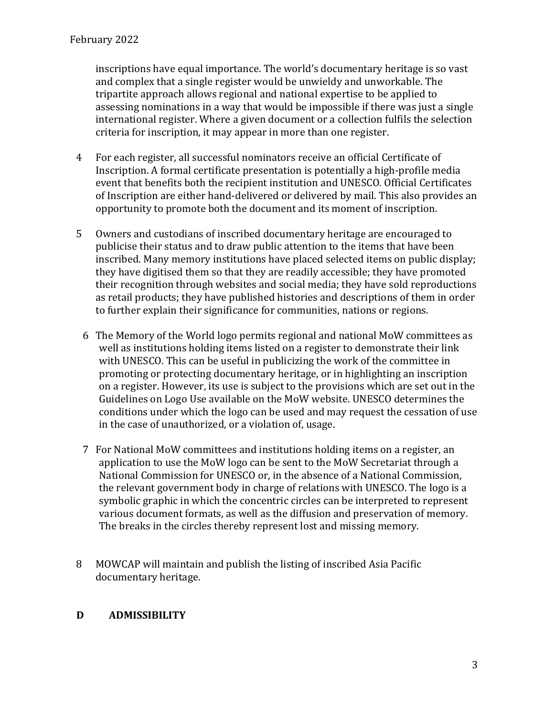inscriptions have equal importance. The world's documentary heritage is so vast and complex that a single register would be unwieldy and unworkable. The tripartite approach allows regional and national expertise to be applied to assessing nominations in a way that would be impossible if there was just a single international register. Where a given document or a collection fulfils the selection criteria for inscription, it may appear in more than one register.

- 4 For each register, all successful nominators receive an official Certificate of Inscription. A formal certificate presentation is potentially a high-profile media event that benefits both the recipient institution and UNESCO. Official Certificates of Inscription are either hand-delivered or delivered by mail. This also provides an opportunity to promote both the document and its moment of inscription.
- 5 Owners and custodians of inscribed documentary heritage are encouraged to publicise their status and to draw public attention to the items that have been inscribed. Many memory institutions have placed selected items on public display; they have digitised them so that they are readily accessible; they have promoted their recognition through websites and social media; they have sold reproductions as retail products; they have published histories and descriptions of them in order to further explain their significance for communities, nations or regions.
	- 6 The Memory of the World logo permits regional and national MoW committees as well as institutions holding items listed on a register to demonstrate their link with UNESCO. This can be useful in publicizing the work of the committee in promoting or protecting documentary heritage, or in highlighting an inscription on a register. However, its use is subject to the provisions which are set out in the Guidelines on Logo Use available on the MoW website. UNESCO determines the conditions under which the logo can be used and may request the cessation of use in the case of unauthorized, or a violation of, usage.
	- 7 For National MoW committees and institutions holding items on a register, an application to use the MoW logo can be sent to the MoW Secretariat through a National Commission for UNESCO or, in the absence of a National Commission, the relevant government body in charge of relations with UNESCO. The logo is a symbolic graphic in which the concentric circles can be interpreted to represent various document formats, as well as the diffusion and preservation of memory. The breaks in the circles thereby represent lost and missing memory.
- 8 MOWCAP will maintain and publish the listing of inscribed Asia Pacific documentary heritage.

#### **D ADMISSIBILITY**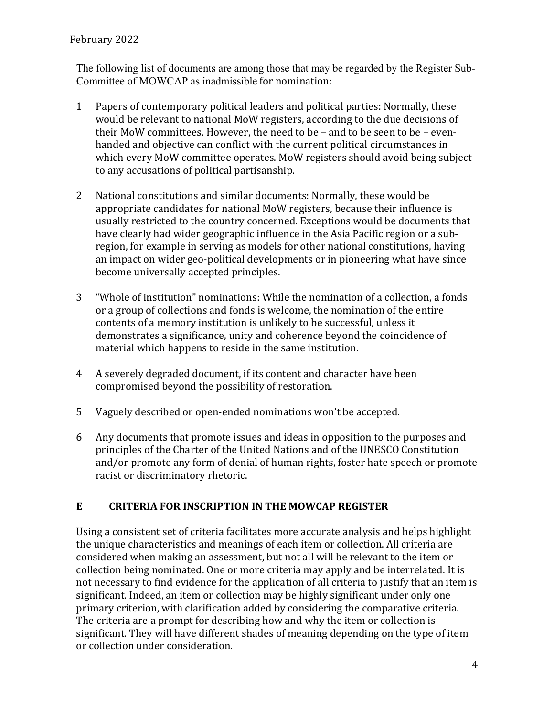#### February 2022

The following list of documents are among those that may be regarded by the Register Sub-Committee of MOWCAP as inadmissible for nomination:

- 1 Papers of contemporary political leaders and political parties: Normally, these would be relevant to national MoW registers, according to the due decisions of their MoW committees. However, the need to be  $-$  and to be seen to be  $-$  evenhanded and objective can conflict with the current political circumstances in which every MoW committee operates. MoW registers should avoid being subject to any accusations of political partisanship.
- 2 National constitutions and similar documents: Normally, these would be appropriate candidates for national MoW registers, because their influence is usually restricted to the country concerned. Exceptions would be documents that have clearly had wider geographic influence in the Asia Pacific region or a subregion, for example in serving as models for other national constitutions, having an impact on wider geo-political developments or in pioneering what have since become universally accepted principles.
- 3 "Whole of institution" nominations: While the nomination of a collection, a fonds or a group of collections and fonds is welcome, the nomination of the entire contents of a memory institution is unlikely to be successful, unless it demonstrates a significance, unity and coherence beyond the coincidence of material which happens to reside in the same institution.
- 4 A severely degraded document, if its content and character have been compromised beyond the possibility of restoration.
- 5 Vaguely described or open-ended nominations won't be accepted.
- 6 Any documents that promote issues and ideas in opposition to the purposes and principles of the Charter of the United Nations and of the UNESCO Constitution and/or promote any form of denial of human rights, foster hate speech or promote racist or discriminatory rhetoric.

#### **E CRITERIA FOR INSCRIPTION IN THE MOWCAP REGISTER**

Using a consistent set of criteria facilitates more accurate analysis and helps highlight the unique characteristics and meanings of each item or collection. All criteria are considered when making an assessment, but not all will be relevant to the item or collection being nominated. One or more criteria may apply and be interrelated. It is not necessary to find evidence for the application of all criteria to justify that an item is significant. Indeed, an item or collection may be highly significant under only one primary criterion, with clarification added by considering the comparative criteria. The criteria are a prompt for describing how and why the item or collection is significant. They will have different shades of meaning depending on the type of item or collection under consideration.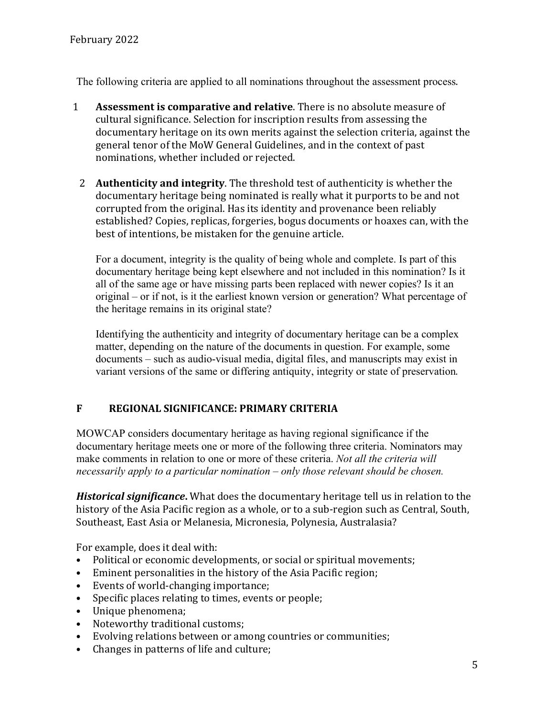The following criteria are applied to all nominations throughout the assessment process. 

- 1 **Assessment is comparative and relative**. There is no absolute measure of cultural significance. Selection for inscription results from assessing the documentary heritage on its own merits against the selection criteria, against the general tenor of the MoW General Guidelines, and in the context of past nominations, whether included or rejected.
	- 2 **Authenticity and integrity**. The threshold test of authenticity is whether the documentary heritage being nominated is really what it purports to be and not corrupted from the original. Has its identity and provenance been reliably established? Copies, replicas, forgeries, bogus documents or hoaxes can, with the best of intentions, be mistaken for the genuine article.

For a document, integrity is the quality of being whole and complete. Is part of this documentary heritage being kept elsewhere and not included in this nomination? Is it all of the same age or have missing parts been replaced with newer copies? Is it an original – or if not, is it the earliest known version or generation? What percentage of the heritage remains in its original state?

Identifying the authenticity and integrity of documentary heritage can be a complex matter, depending on the nature of the documents in question. For example, some documents – such as audio-visual media, digital files, and manuscripts may exist in variant versions of the same or differing antiquity, integrity or state of preservation.

# **F REGIONAL SIGNIFICANCE: PRIMARY CRITERIA**

MOWCAP considers documentary heritage as having regional significance if the documentary heritage meets one or more of the following three criteria. Nominators may make comments in relation to one or more of these criteria. *Not all the criteria will necessarily apply to a particular nomination – only those relevant should be chosen.*

Historical significance. What does the documentary heritage tell us in relation to the history of the Asia Pacific region as a whole, or to a sub-region such as Central, South, Southeast, East Asia or Melanesia, Micronesia, Polynesia, Australasia?

For example, does it deal with:

- Political or economic developments, or social or spiritual movements;
- $\bullet$  Eminent personalities in the history of the Asia Pacific region;
- Events of world-changing importance;
- Specific places relating to times, events or people;
- Unique phenomena;
- Noteworthy traditional customs;
- Evolving relations between or among countries or communities;
- Changes in patterns of life and culture;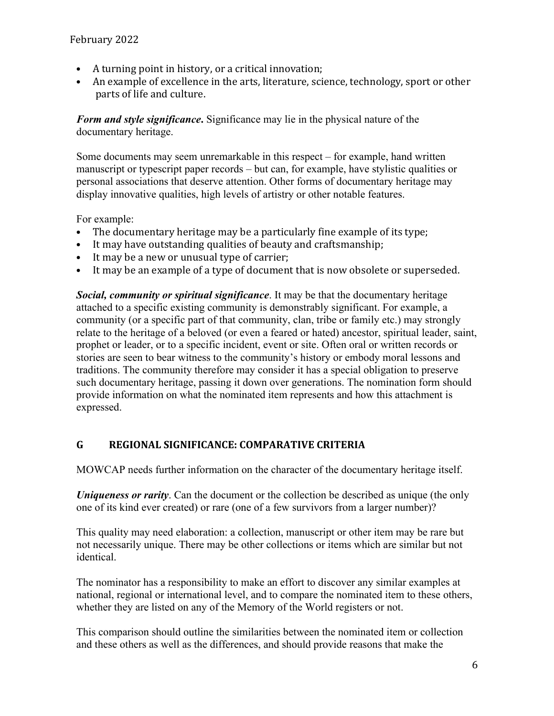- A turning point in history, or a critical innovation;
- An example of excellence in the arts, literature, science, technology, sport or other parts of life and culture.

*Form and style significance***.** Significance may lie in the physical nature of the documentary heritage.

Some documents may seem unremarkable in this respect – for example, hand written manuscript or typescript paper records – but can, for example, have stylistic qualities or personal associations that deserve attention. Other forms of documentary heritage may display innovative qualities, high levels of artistry or other notable features.

For example:

- The documentary heritage may be a particularly fine example of its type;
- It may have outstanding qualities of beauty and craftsmanship;
- It may be a new or unusual type of carrier;
- It may be an example of a type of document that is now obsolete or superseded.

*Social, community or spiritual significance*. It may be that the documentary heritage attached to a specific existing community is demonstrably significant. For example, a community (or a specific part of that community, clan, tribe or family etc.) may strongly relate to the heritage of a beloved (or even a feared or hated) ancestor, spiritual leader, saint, prophet or leader, or to a specific incident, event or site. Often oral or written records or stories are seen to bear witness to the community's history or embody moral lessons and traditions. The community therefore may consider it has a special obligation to preserve such documentary heritage, passing it down over generations. The nomination form should provide information on what the nominated item represents and how this attachment is expressed.

# G REGIONAL SIGNIFICANCE: COMPARATIVE CRITERIA

MOWCAP needs further information on the character of the documentary heritage itself.

*Uniqueness or rarity*. Can the document or the collection be described as unique (the only one of its kind ever created) or rare (one of a few survivors from a larger number)?

This quality may need elaboration: a collection, manuscript or other item may be rare but not necessarily unique. There may be other collections or items which are similar but not identical.

The nominator has a responsibility to make an effort to discover any similar examples at national, regional or international level, and to compare the nominated item to these others, whether they are listed on any of the Memory of the World registers or not.

This comparison should outline the similarities between the nominated item or collection and these others as well as the differences, and should provide reasons that make the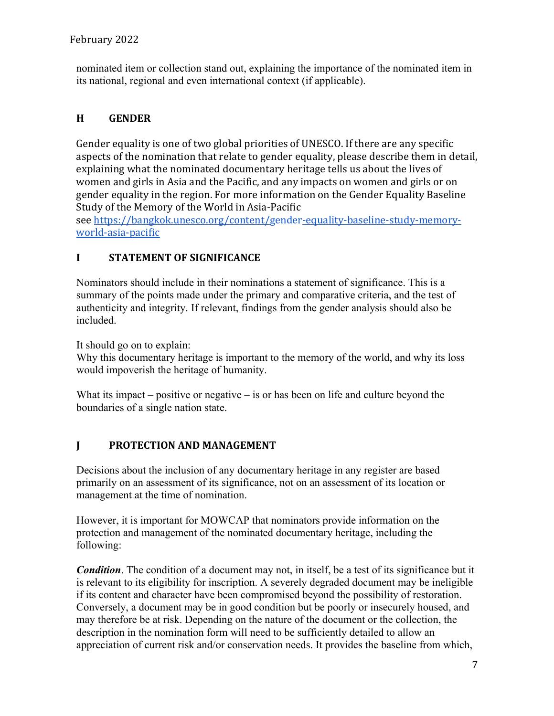nominated item or collection stand out, explaining the importance of the nominated item in its national, regional and even international context (if applicable).

# **H GENDER**

Gender equality is one of two global priorities of UNESCO. If there are any specific aspects of the nomination that relate to gender equality, please describe them in detail, explaining what the nominated documentary heritage tells us about the lives of women and girls in Asia and the Pacific, and any impacts on women and girls or on gender equality in the region. For more information on the Gender Equality Baseline Study of the Memory of the World in Asia-Pacific

see https://bangkok.unesco.org/content/gender-equality-baseline-study-memoryworld-asia-pacific

#### **I** STATEMENT OF SIGNIFICANCE

Nominators should include in their nominations a statement of significance. This is a summary of the points made under the primary and comparative criteria, and the test of authenticity and integrity. If relevant, findings from the gender analysis should also be included.

It should go on to explain:

Why this documentary heritage is important to the memory of the world, and why its loss would impoverish the heritage of humanity.

What its impact – positive or negative – is or has been on life and culture beyond the boundaries of a single nation state.

# **I** PROTECTION AND MANAGEMENT

Decisions about the inclusion of any documentary heritage in any register are based primarily on an assessment of its significance, not on an assessment of its location or management at the time of nomination.

However, it is important for MOWCAP that nominators provide information on the protection and management of the nominated documentary heritage, including the following:

*Condition*. The condition of a document may not, in itself, be a test of its significance but it is relevant to its eligibility for inscription. A severely degraded document may be ineligible if its content and character have been compromised beyond the possibility of restoration. Conversely, a document may be in good condition but be poorly or insecurely housed, and may therefore be at risk. Depending on the nature of the document or the collection, the description in the nomination form will need to be sufficiently detailed to allow an appreciation of current risk and/or conservation needs. It provides the baseline from which,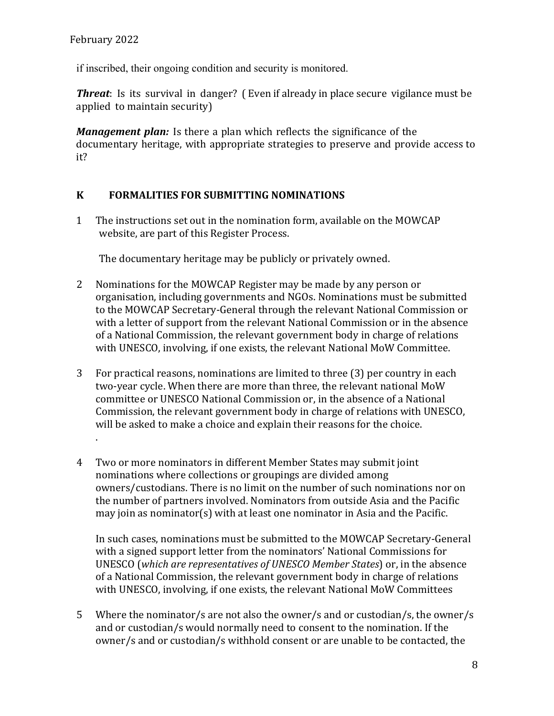if inscribed, their ongoing condition and security is monitored.

**Threat**: Is its survival in danger? (Even if already in place secure vigilance must be applied to maintain security)

*Management plan:* Is there a plan which reflects the significance of the documentary heritage, with appropriate strategies to preserve and provide access to it?

# **K FORMALITIES FOR SUBMITTING NOMINATIONS**

1 The instructions set out in the nomination form, available on the MOWCAP website, are part of this Register Process.

The documentary heritage may be publicly or privately owned.

- 2 Nominations for the MOWCAP Register may be made by any person or organisation, including governments and NGOs. Nominations must be submitted to the MOWCAP Secretary-General through the relevant National Commission or with a letter of support from the relevant National Commission or in the absence of a National Commission, the relevant government body in charge of relations with UNESCO, involving, if one exists, the relevant National MoW Committee.
- 3 For practical reasons, nominations are limited to three (3) per country in each two-year cycle. When there are more than three, the relevant national MoW committee or UNESCO National Commission or, in the absence of a National Commission, the relevant government body in charge of relations with UNESCO, will be asked to make a choice and explain their reasons for the choice. .
- 4 Two or more nominators in different Member States may submit joint nominations where collections or groupings are divided among owners/custodians. There is no limit on the number of such nominations nor on the number of partners involved. Nominators from outside Asia and the Pacific may join as nominator(s) with at least one nominator in Asia and the Pacific.

In such cases, nominations must be submitted to the MOWCAP Secretary-General with a signed support letter from the nominators' National Commissions for UNESCO (which are representatives of UNESCO Member States) or, in the absence of a National Commission, the relevant government body in charge of relations with UNESCO, involving, if one exists, the relevant National MoW Committees

5 Where the nominator/s are not also the owner/s and or custodian/s, the owner/s and or custodian/s would normally need to consent to the nomination. If the owner/s and or custodian/s withhold consent or are unable to be contacted, the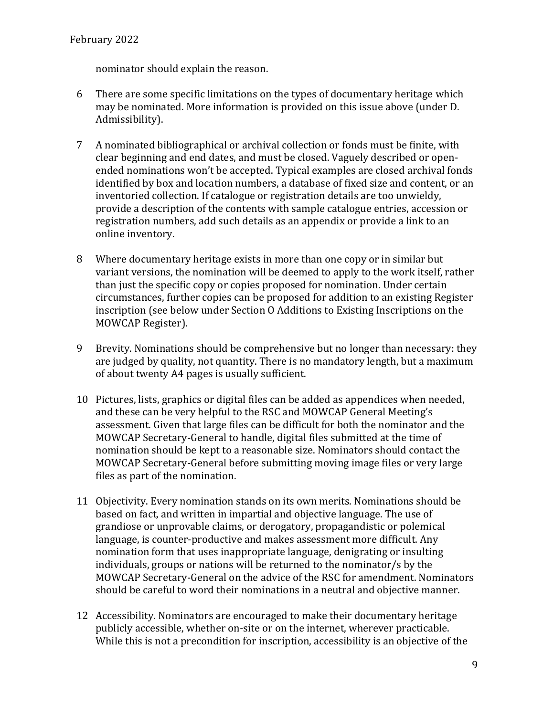nominator should explain the reason.

- 6 There are some specific limitations on the types of documentary heritage which may be nominated. More information is provided on this issue above (under D. Admissibility).
- 7 A nominated bibliographical or archival collection or fonds must be finite, with clear beginning and end dates, and must be closed. Vaguely described or openended nominations won't be accepted. Typical examples are closed archival fonds identified by box and location numbers, a database of fixed size and content, or an inventoried collection. If catalogue or registration details are too unwieldy, provide a description of the contents with sample catalogue entries, accession or registration numbers, add such details as an appendix or provide a link to an online inventory.
- 8 Where documentary heritage exists in more than one copy or in similar but variant versions, the nomination will be deemed to apply to the work itself, rather than just the specific copy or copies proposed for nomination. Under certain circumstances, further copies can be proposed for addition to an existing Register inscription (see below under Section O Additions to Existing Inscriptions on the MOWCAP Register).
- 9 Brevity. Nominations should be comprehensive but no longer than necessary: they are judged by quality, not quantity. There is no mandatory length, but a maximum of about twenty A4 pages is usually sufficient.
- 10 Pictures, lists, graphics or digital files can be added as appendices when needed, and these can be very helpful to the RSC and MOWCAP General Meeting's assessment. Given that large files can be difficult for both the nominator and the MOWCAP Secretary-General to handle, digital files submitted at the time of nomination should be kept to a reasonable size. Nominators should contact the MOWCAP Secretary-General before submitting moving image files or very large files as part of the nomination.
- 11 Objectivity. Every nomination stands on its own merits. Nominations should be based on fact, and written in impartial and objective language. The use of grandiose or unprovable claims, or derogatory, propagandistic or polemical language, is counter-productive and makes assessment more difficult. Any nomination form that uses inappropriate language, denigrating or insulting individuals, groups or nations will be returned to the nominator/s by the MOWCAP Secretary-General on the advice of the RSC for amendment. Nominators should be careful to word their nominations in a neutral and objective manner.
- 12 Accessibility. Nominators are encouraged to make their documentary heritage publicly accessible, whether on-site or on the internet, wherever practicable. While this is not a precondition for inscription, accessibility is an objective of the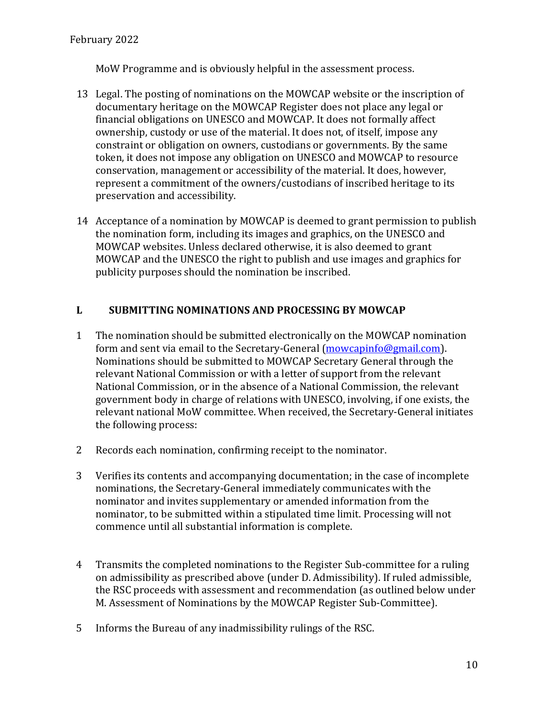MoW Programme and is obviously helpful in the assessment process.

- 13 Legal. The posting of nominations on the MOWCAP website or the inscription of documentary heritage on the MOWCAP Register does not place any legal or financial obligations on UNESCO and MOWCAP. It does not formally affect ownership, custody or use of the material. It does not, of itself, impose any constraint or obligation on owners, custodians or governments. By the same token, it does not impose any obligation on UNESCO and MOWCAP to resource conservation, management or accessibility of the material. It does, however, represent a commitment of the owners/custodians of inscribed heritage to its preservation and accessibility.
- 14 Acceptance of a nomination by MOWCAP is deemed to grant permission to publish the nomination form, including its images and graphics, on the UNESCO and MOWCAP websites. Unless declared otherwise, it is also deemed to grant MOWCAP and the UNESCO the right to publish and use images and graphics for publicity purposes should the nomination be inscribed.

# **L.** SUBMITTING NOMINATIONS AND PROCESSING BY MOWCAP

- 1 The nomination should be submitted electronically on the MOWCAP nomination form and sent via email to the Secretary-General (mowcapinfo@gmail.com). Nominations should be submitted to MOWCAP Secretary General through the relevant National Commission or with a letter of support from the relevant National Commission, or in the absence of a National Commission, the relevant government body in charge of relations with UNESCO, involving, if one exists, the relevant national MoW committee. When received, the Secretary-General initiates the following process:
- 2 Records each nomination, confirming receipt to the nominator.
- 3 Verifies its contents and accompanying documentation; in the case of incomplete nominations, the Secretary-General immediately communicates with the nominator and invites supplementary or amended information from the nominator, to be submitted within a stipulated time limit. Processing will not commence until all substantial information is complete.
- 4 Transmits the completed nominations to the Register Sub-committee for a ruling on admissibility as prescribed above (under D. Admissibility). If ruled admissible, the RSC proceeds with assessment and recommendation (as outlined below under M. Assessment of Nominations by the MOWCAP Register Sub-Committee).
- 5 Informs the Bureau of any inadmissibility rulings of the RSC.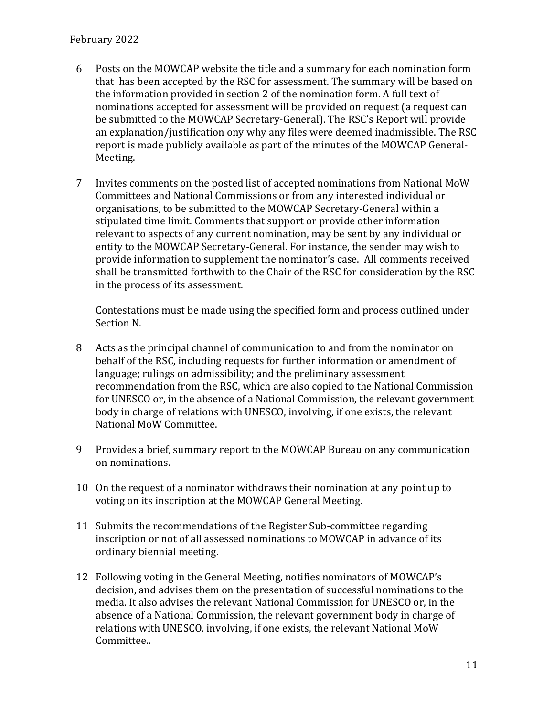- 6 Posts on the MOWCAP website the title and a summary for each nomination form that has been accepted by the RSC for assessment. The summary will be based on the information provided in section 2 of the nomination form. A full text of nominations accepted for assessment will be provided on request (a request can be submitted to the MOWCAP Secretary-General). The RSC's Report will provide an explanation/justification ony why any files were deemed inadmissible. The RSC report is made publicly available as part of the minutes of the MOWCAP General-Meeting.
- 7 Invites comments on the posted list of accepted nominations from National MoW Committees and National Commissions or from any interested individual or organisations, to be submitted to the MOWCAP Secretary-General within a stipulated time limit. Comments that support or provide other information relevant to aspects of any current nomination, may be sent by any individual or entity to the MOWCAP Secretary-General. For instance, the sender may wish to provide information to supplement the nominator's case. All comments received shall be transmitted forthwith to the Chair of the RSC for consideration by the RSC in the process of its assessment.

Contestations must be made using the specified form and process outlined under Section N.

- 8 Acts as the principal channel of communication to and from the nominator on behalf of the RSC, including requests for further information or amendment of language; rulings on admissibility; and the preliminary assessment recommendation from the RSC, which are also copied to the National Commission for UNESCO or, in the absence of a National Commission, the relevant government body in charge of relations with UNESCO, involving, if one exists, the relevant National MoW Committee.
- 9 Provides a brief, summary report to the MOWCAP Bureau on any communication on nominations.
- 10 On the request of a nominator withdraws their nomination at any point up to voting on its inscription at the MOWCAP General Meeting.
- 11 Submits the recommendations of the Register Sub-committee regarding inscription or not of all assessed nominations to MOWCAP in advance of its ordinary biennial meeting.
- 12 Following voting in the General Meeting, notifies nominators of MOWCAP's decision, and advises them on the presentation of successful nominations to the media. It also advises the relevant National Commission for UNESCO or, in the absence of a National Commission, the relevant government body in charge of relations with UNESCO, involving, if one exists, the relevant National MoW Committee..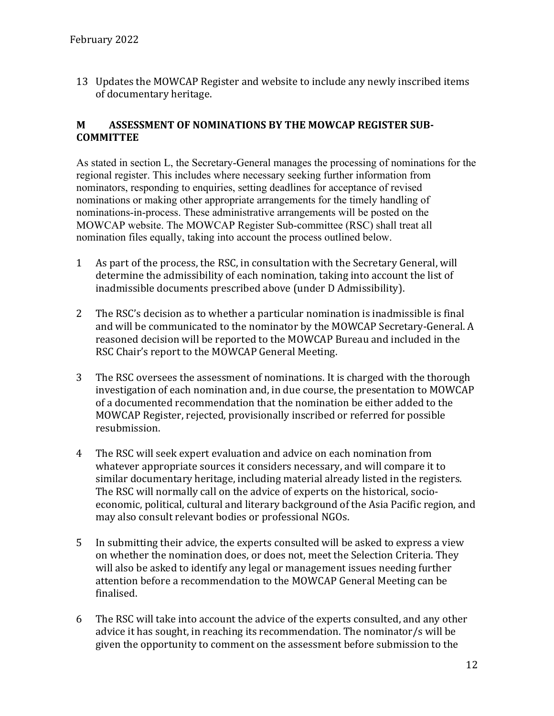13 Updates the MOWCAP Register and website to include any newly inscribed items of documentary heritage.

#### **M** ASSESSMENT OF NOMINATIONS BY THE MOWCAP REGISTER SUB-**COMMITTEE**

As stated in section L, the Secretary-General manages the processing of nominations for the regional register. This includes where necessary seeking further information from nominators, responding to enquiries, setting deadlines for acceptance of revised nominations or making other appropriate arrangements for the timely handling of nominations-in-process. These administrative arrangements will be posted on the MOWCAP website. The MOWCAP Register Sub-committee (RSC) shall treat all nomination files equally, taking into account the process outlined below.

- 1 As part of the process, the RSC, in consultation with the Secretary General, will determine the admissibility of each nomination, taking into account the list of inadmissible documents prescribed above (under D Admissibility).
- 2 The RSC's decision as to whether a particular nomination is inadmissible is final and will be communicated to the nominator by the MOWCAP Secretary-General. A reasoned decision will be reported to the MOWCAP Bureau and included in the RSC Chair's report to the MOWCAP General Meeting.
- 3 The RSC oversees the assessment of nominations. It is charged with the thorough investigation of each nomination and, in due course, the presentation to MOWCAP of a documented recommendation that the nomination be either added to the MOWCAP Register, rejected, provisionally inscribed or referred for possible resubmission.
- 4 The RSC will seek expert evaluation and advice on each nomination from whatever appropriate sources it considers necessary, and will compare it to similar documentary heritage, including material already listed in the registers. The RSC will normally call on the advice of experts on the historical, socioeconomic, political, cultural and literary background of the Asia Pacific region, and may also consult relevant bodies or professional NGOs.
- 5 In submitting their advice, the experts consulted will be asked to express a view on whether the nomination does, or does not, meet the Selection Criteria. They will also be asked to identify any legal or management issues needing further attention before a recommendation to the MOWCAP General Meeting can be finalised.
- 6 The RSC will take into account the advice of the experts consulted, and any other advice it has sought, in reaching its recommendation. The nominator/s will be given the opportunity to comment on the assessment before submission to the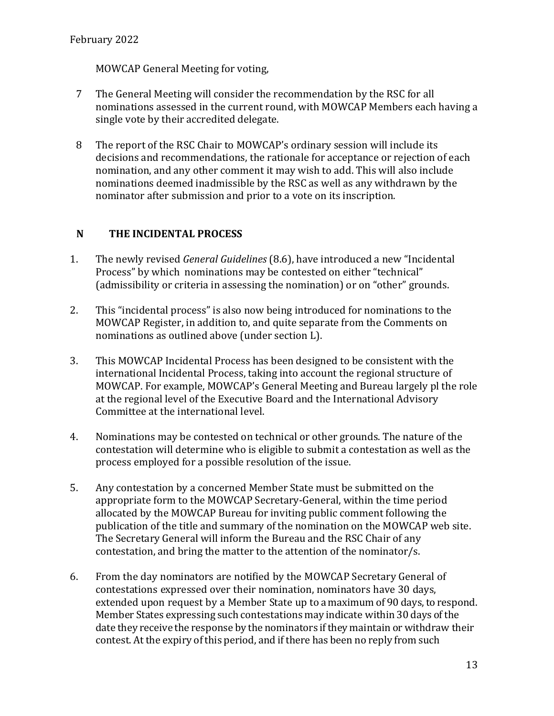MOWCAP General Meeting for voting,

- 7 The General Meeting will consider the recommendation by the RSC for all nominations assessed in the current round, with MOWCAP Members each having a single vote by their accredited delegate.
- 8 The report of the RSC Chair to MOWCAP's ordinary session will include its decisions and recommendations, the rationale for acceptance or rejection of each nomination, and any other comment it may wish to add. This will also include nominations deemed inadmissible by the RSC as well as any withdrawn by the nominator after submission and prior to a vote on its inscription.

# **N** THE INCIDENTAL PROCESS

- 1. The newly revised *General Guidelines* (8.6), have introduced a new "Incidental Process" by which nominations may be contested on either "technical" (admissibility or criteria in assessing the nomination) or on "other" grounds.
- 2. This "incidental process" is also now being introduced for nominations to the MOWCAP Register, in addition to, and quite separate from the Comments on nominations as outlined above (under section L).
- 3. This MOWCAP Incidental Process has been designed to be consistent with the international Incidental Process, taking into account the regional structure of MOWCAP. For example, MOWCAP's General Meeting and Bureau largely pl the role at the regional level of the Executive Board and the International Advisory Committee at the international level.
- 4. Nominations may be contested on technical or other grounds. The nature of the contestation will determine who is eligible to submit a contestation as well as the process employed for a possible resolution of the issue.
- 5. Any contestation by a concerned Member State must be submitted on the appropriate form to the MOWCAP Secretary-General, within the time period allocated by the MOWCAP Bureau for inviting public comment following the publication of the title and summary of the nomination on the MOWCAP web site. The Secretary General will inform the Bureau and the RSC Chair of any contestation, and bring the matter to the attention of the nominator/s.
- 6. From the day nominators are notified by the MOWCAP Secretary General of contestations expressed over their nomination, nominators have 30 days, extended upon request by a Member State up to a maximum of 90 days, to respond. Member States expressing such contestations may indicate within 30 days of the date they receive the response by the nominators if they maintain or withdraw their contest. At the expiry of this period, and if there has been no reply from such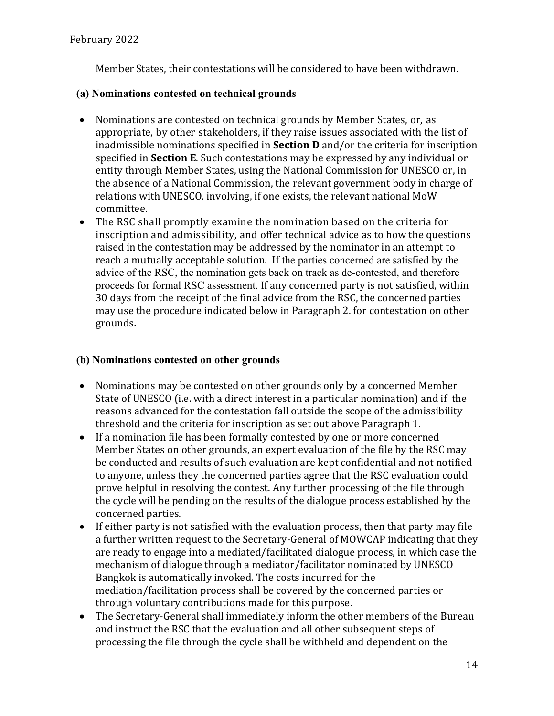Member States, their contestations will be considered to have been withdrawn.

#### **(a) Nominations contested on technical grounds**

- Nominations are contested on technical grounds by Member States, or, as appropriate, by other stakeholders, if they raise issues associated with the list of inadmissible nominations specified in **Section D** and/or the criteria for inscription specified in **Section E**. Such contestations may be expressed by any individual or entity through Member States, using the National Commission for UNESCO or, in the absence of a National Commission, the relevant government body in charge of relations with UNESCO, involving, if one exists, the relevant national MoW committee.
- The RSC shall promptly examine the nomination based on the criteria for inscription and admissibility, and offer technical advice as to how the questions raised in the contestation may be addressed by the nominator in an attempt to reach a mutually acceptable solution. If the parties concerned are satisfied by the advice of the RSC, the nomination gets back on track as de-contested, and therefore proceeds for formal RSC assessment. If any concerned party is not satisfied, within 30 days from the receipt of the final advice from the RSC, the concerned parties may use the procedure indicated below in Paragraph 2. for contestation on other grounds**.**

#### **(b) Nominations contested on other grounds**

- Nominations may be contested on other grounds only by a concerned Member State of UNESCO (i.e. with a direct interest in a particular nomination) and if the reasons advanced for the contestation fall outside the scope of the admissibility threshold and the criteria for inscription as set out above Paragraph 1.
- If a nomination file has been formally contested by one or more concerned Member States on other grounds, an expert evaluation of the file by the RSC may be conducted and results of such evaluation are kept confidential and not notified to anyone, unless they the concerned parties agree that the RSC evaluation could prove helpful in resolving the contest. Any further processing of the file through the cycle will be pending on the results of the dialogue process established by the concerned parties.
- If either party is not satisfied with the evaluation process, then that party may file a further written request to the Secretary-General of MOWCAP indicating that they are ready to engage into a mediated/facilitated dialogue process, in which case the mechanism of dialogue through a mediator/facilitator nominated by UNESCO Bangkok is automatically invoked. The costs incurred for the mediation/facilitation process shall be covered by the concerned parties or through voluntary contributions made for this purpose.
- The Secretary-General shall immediately inform the other members of the Bureau and instruct the RSC that the evaluation and all other subsequent steps of processing the file through the cycle shall be withheld and dependent on the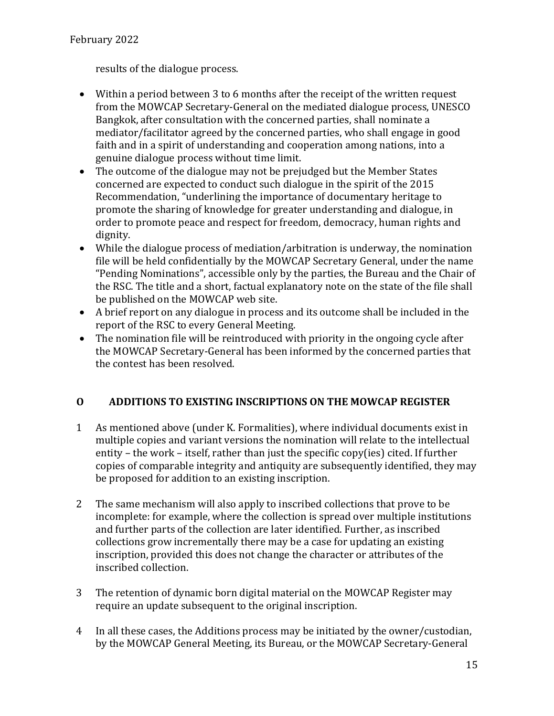results of the dialogue process.

- Within a period between 3 to 6 months after the receipt of the written request from the MOWCAP Secretary-General on the mediated dialogue process, UNESCO Bangkok, after consultation with the concerned parties, shall nominate a mediator/facilitator agreed by the concerned parties, who shall engage in good faith and in a spirit of understanding and cooperation among nations, into a genuine dialogue process without time limit.
- The outcome of the dialogue may not be prejudged but the Member States concerned are expected to conduct such dialogue in the spirit of the 2015 Recommendation, "underlining the importance of documentary heritage to promote the sharing of knowledge for greater understanding and dialogue, in order to promote peace and respect for freedom, democracy, human rights and dignity.
- While the dialogue process of mediation/arbitration is underway, the nomination file will be held confidentially by the MOWCAP Secretary General, under the name "Pending Nominations", accessible only by the parties, the Bureau and the Chair of the RSC. The title and a short, factual explanatory note on the state of the file shall be published on the MOWCAP web site.
- A brief report on any dialogue in process and its outcome shall be included in the report of the RSC to every General Meeting.
- The nomination file will be reintroduced with priority in the ongoing cycle after the MOWCAP Secretary-General has been informed by the concerned parties that the contest has been resolved.

# **O ADDITIONS TO EXISTING INSCRIPTIONS ON THE MOWCAP REGISTER**

- 1 As mentioned above (under K. Formalities), where individual documents exist in multiple copies and variant versions the nomination will relate to the intellectual entity – the work – itself, rather than just the specific copy(ies) cited. If further copies of comparable integrity and antiquity are subsequently identified, they may be proposed for addition to an existing inscription.
- 2 The same mechanism will also apply to inscribed collections that prove to be incomplete: for example, where the collection is spread over multiple institutions and further parts of the collection are later identified. Further, as inscribed collections grow incrementally there may be a case for updating an existing inscription, provided this does not change the character or attributes of the inscribed collection.
- 3 The retention of dynamic born digital material on the MOWCAP Register may require an update subsequent to the original inscription.
- 4 In all these cases, the Additions process may be initiated by the owner/custodian, by the MOWCAP General Meeting, its Bureau, or the MOWCAP Secretary-General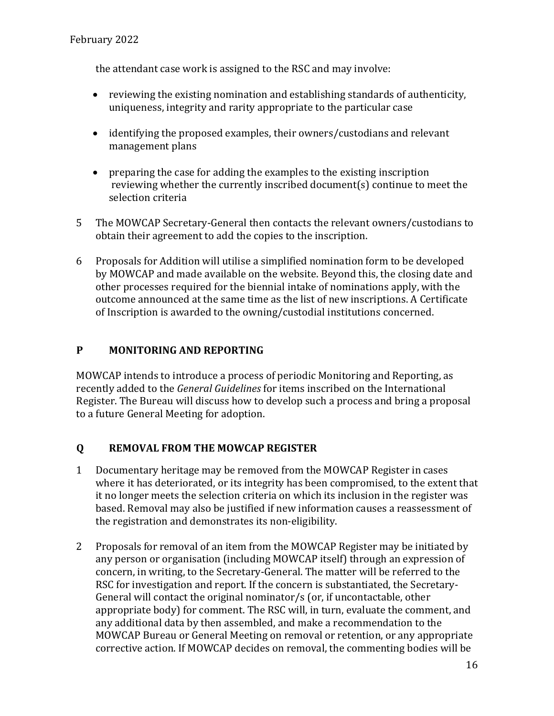the attendant case work is assigned to the RSC and may involve:

- reviewing the existing nomination and establishing standards of authenticity, uniqueness, integrity and rarity appropriate to the particular case
- $\bullet$  identifying the proposed examples, their owners/custodians and relevant management plans
- preparing the case for adding the examples to the existing inscription reviewing whether the currently inscribed document(s) continue to meet the selection criteria
- 5 The MOWCAP Secretary-General then contacts the relevant owners/custodians to obtain their agreement to add the copies to the inscription.
- 6 Proposals for Addition will utilise a simplified nomination form to be developed by MOWCAP and made available on the website. Beyond this, the closing date and other processes required for the biennial intake of nominations apply, with the outcome announced at the same time as the list of new inscriptions. A Certificate of Inscription is awarded to the owning/custodial institutions concerned.

# **P MONITORING AND REPORTING**

MOWCAP intends to introduce a process of periodic Monitoring and Reporting, as recently added to the *General Guidelines* for items inscribed on the International Register. The Bureau will discuss how to develop such a process and bring a proposal to a future General Meeting for adoption.

# **Q REMOVAL FROM THE MOWCAP REGISTER**

- 1 Documentary heritage may be removed from the MOWCAP Register in cases where it has deteriorated, or its integrity has been compromised, to the extent that it no longer meets the selection criteria on which its inclusion in the register was based. Removal may also be justified if new information causes a reassessment of the registration and demonstrates its non-eligibility.
- 2 Proposals for removal of an item from the MOWCAP Register may be initiated by any person or organisation (including MOWCAP itself) through an expression of concern, in writing, to the Secretary-General. The matter will be referred to the RSC for investigation and report. If the concern is substantiated, the Secretary-General will contact the original nominator/s (or, if uncontactable, other appropriate body) for comment. The RSC will, in turn, evaluate the comment, and any additional data by then assembled, and make a recommendation to the MOWCAP Bureau or General Meeting on removal or retention, or any appropriate corrective action. If MOWCAP decides on removal, the commenting bodies will be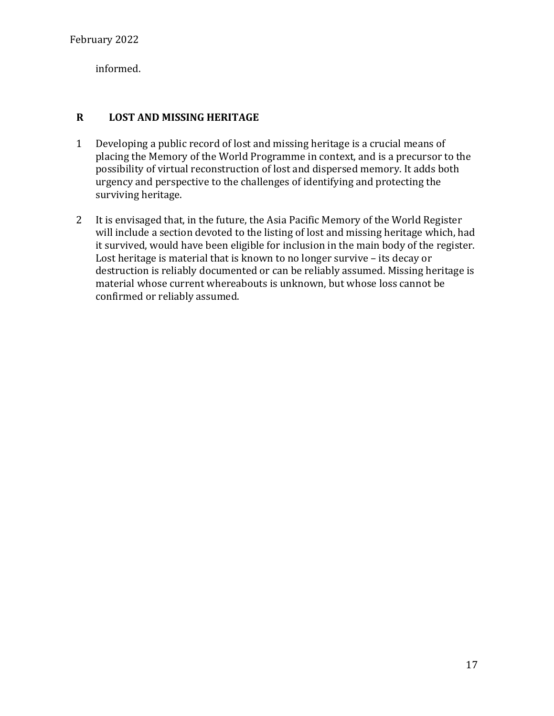informed.

# **R LOST AND MISSING HERITAGE**

- 1 Developing a public record of lost and missing heritage is a crucial means of placing the Memory of the World Programme in context, and is a precursor to the possibility of virtual reconstruction of lost and dispersed memory. It adds both urgency and perspective to the challenges of identifying and protecting the surviving heritage.
- 2 It is envisaged that, in the future, the Asia Pacific Memory of the World Register will include a section devoted to the listing of lost and missing heritage which, had it survived, would have been eligible for inclusion in the main body of the register. Lost heritage is material that is known to no longer survive  $-$  its decay or destruction is reliably documented or can be reliably assumed. Missing heritage is material whose current whereabouts is unknown, but whose loss cannot be confirmed or reliably assumed.